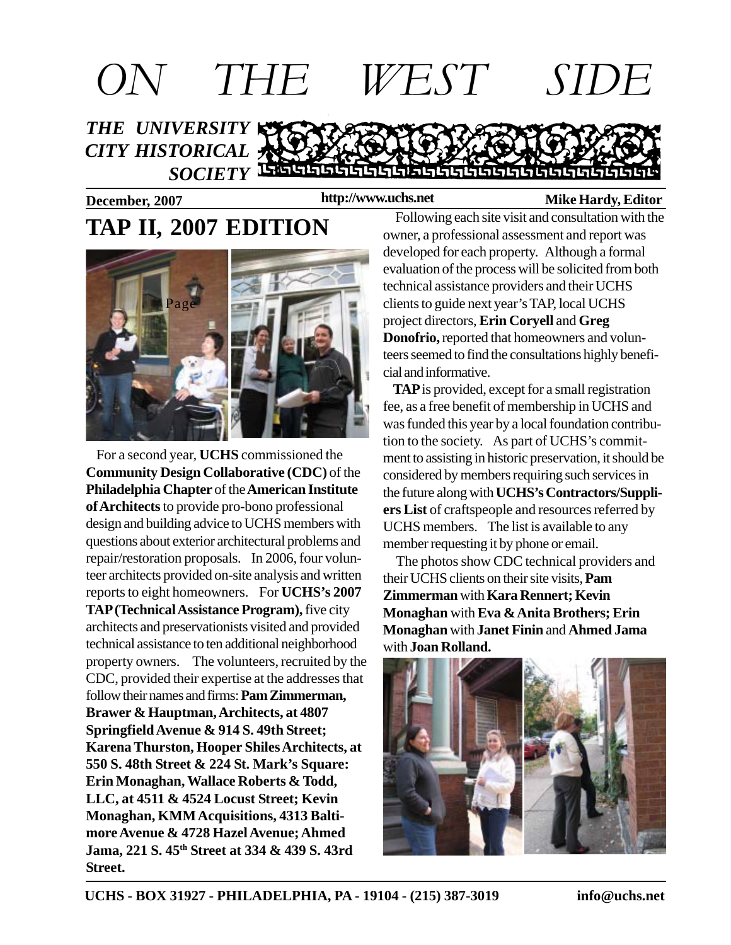

**http://www.uchs.net**

#### **December, 2007 http://www.uchs.net** Mike Hardy, Editor

# **TAP II, 2007 EDITION**



 For a second year, **UCHS** commissioned the **Community Design Collaborative (CDC)** of the **Philadelphia Chapter** of the **American Institute of Architects** to provide pro-bono professional design and building advice to UCHS members with questions about exterior architectural problems and repair/restoration proposals. In 2006, four volunteer architects provided on-site analysis and written reports to eight homeowners. For **UCHS's 2007 TAP (Technical Assistance Program),** five city architects and preservationists visited and provided technical assistance to ten additional neighborhood property owners. The volunteers, recruited by the CDC, provided their expertise at the addresses that follow their names and firms: **Pam Zimmerman, Brawer & Hauptman, Architects, at 4807 Springfield Avenue & 914 S. 49th Street; Karena Thurston, Hooper Shiles Architects, at 550 S. 48th Street & 224 St. Mark's Square: Erin Monaghan, Wallace Roberts & Todd, LLC, at 4511 & 4524 Locust Street; Kevin Monaghan, KMM Acquisitions, 4313 Baltimore Avenue & 4728 Hazel Avenue; Ahmed Jama, 221 S. 45th Street at 334 & 439 S. 43rd Street.**

Following each site visit and consultation with the owner, a professional assessment and report was developed for each property. Although a formal evaluation of the process will be solicited from both technical assistance providers and their UCHS clients to guide next year's TAP, local UCHS project directors, **Erin Coryell** and **Greg Donofrio,** reported that homeowners and volunteers seemed to find the consultations highly beneficial and informative.

 **TAP** is provided, except for a small registration fee, as a free benefit of membership in UCHS and was funded this year by a local foundation contribution to the society. As part of UCHS's commitment to assisting in historic preservation, it should be considered by members requiring such services in the future along with **UCHS's Contractors/Suppliers List** of craftspeople and resources referred by UCHS members. The list is available to any member requesting it by phone or email.

 The photos show CDC technical providers and their UCHS clients on their site visits, **Pam Zimmerman** with **Kara Rennert; Kevin Monaghan** with **Eva & Anita Brothers; Erin Monaghan** with **Janet Finin** and **Ahmed Jama** with **Joan Rolland.**

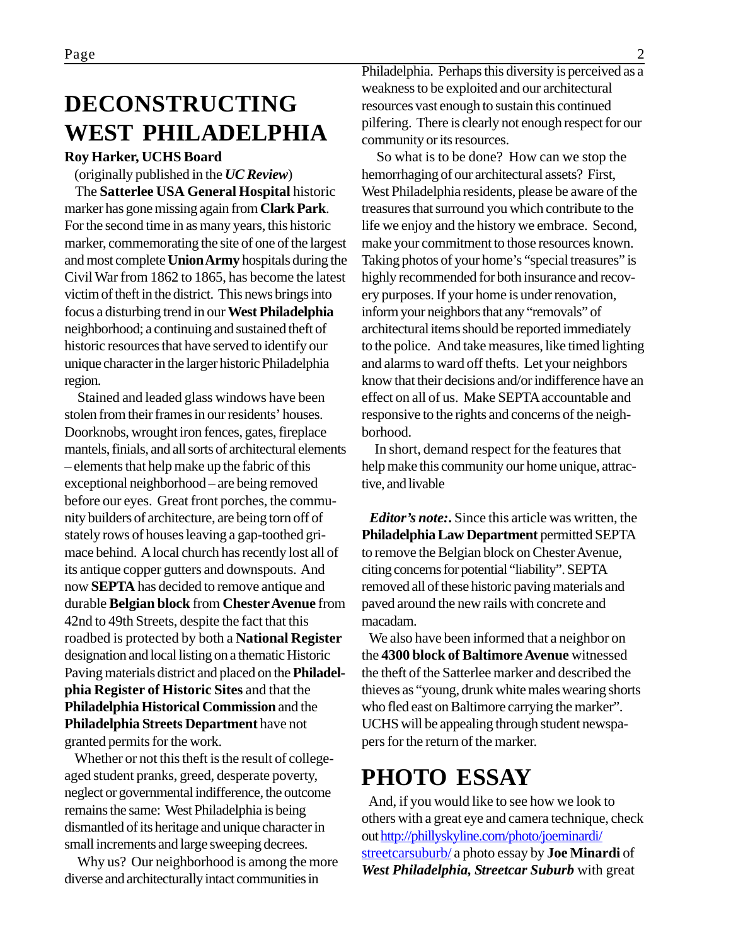### **DECONSTRUCTING WEST PHILADELPHIA**

#### **Roy Harker, UCHS Board**

(originally published in the *UC Review*)

 The **Satterlee USA General Hospital** historic marker has gone missing again from **Clark Park**. For the second time in as many years, this historic marker, commemorating the site of one of the largest and most complete **Union Army** hospitals during the Civil War from 1862 to 1865, has become the latest victim of theft in the district. This news brings into focus a disturbing trend in our **West Philadelphia** neighborhood; a continuing and sustained theft of historic resources that have served to identify our unique character in the larger historic Philadelphia region.

 Stained and leaded glass windows have been stolen from their frames in our residents' houses. Doorknobs, wrought iron fences, gates, fireplace mantels, finials, and all sorts of architectural elements – elements that help make up the fabric of this exceptional neighborhood – are being removed before our eyes. Great front porches, the community builders of architecture, are being torn off of stately rows of houses leaving a gap-toothed grimace behind. A local church has recently lost all of its antique copper gutters and downspouts. And now **SEPTA** has decided to remove antique and durable **Belgian block** from **Chester Avenue** from 42nd to 49th Streets, despite the fact that this roadbed is protected by both a **National Register** designation and local listing on a thematic Historic Paving materials district and placed on the **Philadelphia Register of Historic Sites** and that the **Philadelphia Historical Commission** and the **Philadelphia Streets Department** have not granted permits for the work.

 Whether or not this theft is the result of collegeaged student pranks, greed, desperate poverty, neglect or governmental indifference, the outcome remains the same: West Philadelphia is being dismantled of its heritage and unique character in small increments and large sweeping decrees.

 Why us? Our neighborhood is among the more diverse and architecturally intact communities in

Philadelphia. Perhaps this diversity is perceived as a weakness to be exploited and our architectural resources vast enough to sustain this continued pilfering. There is clearly not enough respect for our community or its resources.

 So what is to be done? How can we stop the hemorrhaging of our architectural assets? First, West Philadelphia residents, please be aware of the treasures that surround you which contribute to the life we enjoy and the history we embrace. Second, make your commitment to those resources known. Taking photos of your home's "special treasures" is highly recommended for both insurance and recovery purposes. If your home is under renovation, inform your neighbors that any "removals" of architectural items should be reported immediately to the police. And take measures, like timed lighting and alarms to ward off thefts. Let your neighbors know that their decisions and/or indifference have an effect on all of us. Make SEPTA accountable and responsive to the rights and concerns of the neighborhood.

 In short, demand respect for the features that help make this community our home unique, attractive, and livable

*Editor's note:***.** Since this article was written, the **Philadelphia Law Department** permitted SEPTA to remove the Belgian block on Chester Avenue, citing concerns for potential "liability". SEPTA removed all of these historic paving materials and paved around the new rails with concrete and macadam.

 We also have been informed that a neighbor on the **4300 block of Baltimore Avenue** witnessed the theft of the Satterlee marker and described the thieves as "young, drunk white males wearing shorts who fled east on Baltimore carrying the marker". UCHS will be appealing through student newspapers for the return of the marker.

### **PHOTO ESSAY**

 And, if you would like to see how we look to others with a great eye and camera technique, check out http://phillyskyline.com/photo/joeminardi/ streetcarsuburb/ a photo essay by **Joe Minardi** of *West Philadelphia, Streetcar Suburb* with great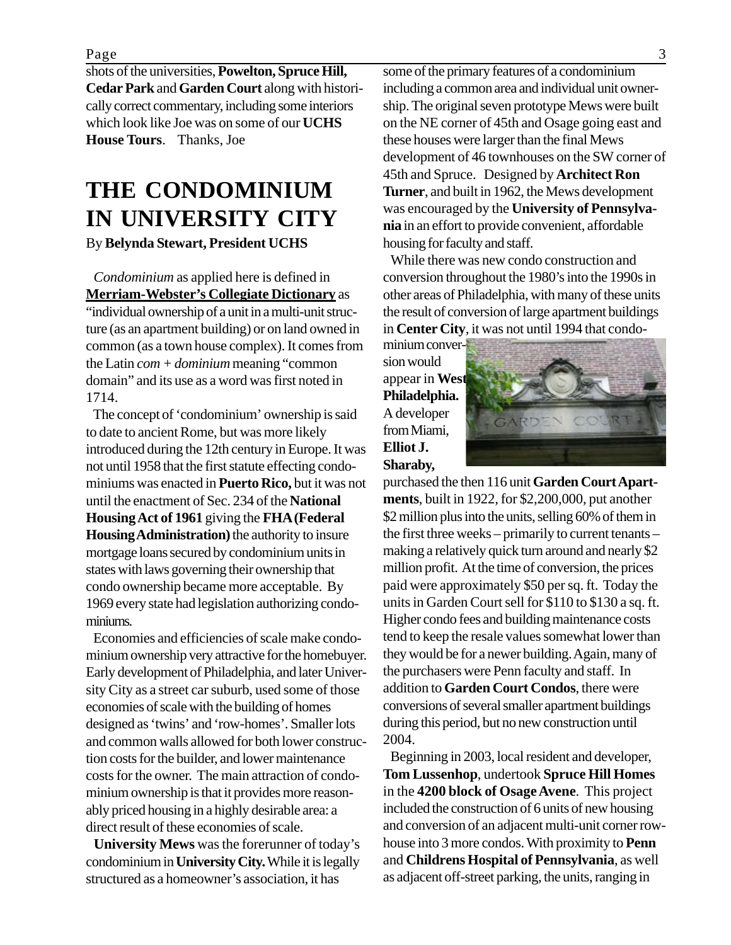shots of the universities, **Powelton, Spruce Hill, Cedar Park** and **Garden Court** along with historically correct commentary, including some interiors which look like Joe was on some of our **UCHS House Tours**. Thanks, Joe

# **THE CONDOMINIUM IN UNIVERSITY CITY**

By **Belynda Stewart, President UCHS**

 *Condominium* as applied here is defined in **Merriam-Webster's Collegiate Dictionary** as "individual ownership of a unit in a multi-unit structure (as an apartment building) or on land owned in

common (as a town house complex). It comes from the Latin *com + dominium* meaning "common domain" and its use as a word was first noted in 1714.

 The concept of 'condominium' ownership is said to date to ancient Rome, but was more likely introduced during the 12th century in Europe. It was not until 1958 that the first statute effecting condominiums was enacted in **Puerto Rico,** but it was not until the enactment of Sec. 234 of the **National Housing Act of 1961** giving the **FHA (Federal Housing Administration)** the authority to insure mortgage loans secured by condominium units in states with laws governing their ownership that condo ownership became more acceptable. By 1969 every state had legislation authorizing condominiums.

 Economies and efficiencies of scale make condominium ownership very attractive for the homebuyer. Early development of Philadelphia, and later University City as a street car suburb, used some of those economies of scale with the building of homes designed as 'twins' and 'row-homes'. Smaller lots and common walls allowed for both lower construction costs for the builder, and lower maintenance costs for the owner. The main attraction of condominium ownership is that it provides more reasonably priced housing in a highly desirable area: a direct result of these economies of scale.

 **University Mews** was the forerunner of today's condominium in **University City.** While it is legally structured as a homeowner's association, it has

some of the primary features of a condominium including a common area and individual unit ownership. The original seven prototype Mews were built on the NE corner of 45th and Osage going east and these houses were larger than the final Mews development of 46 townhouses on the SW corner of 45th and Spruce. Designed by **Architect Ron Turner**, and built in 1962, the Mews development was encouraged by the **University of Pennsylvania** in an effort to provide convenient, affordable housing for faculty and staff.

 While there was new condo construction and conversion throughout the 1980's into the 1990s in other areas of Philadelphia, with many of these units the result of conversion of large apartment buildings in **Center City**, it was not until 1994 that condo-

minium conversion would appear in **West Philadelphia.** A developer from Miami, **Elliot J. Sharaby,**



purchased the then 116 unit **Garden Court Apartments**, built in 1922, for \$2,200,000, put another \$2 million plus into the units, selling 60% of them in the first three weeks – primarily to current tenants – making a relatively quick turn around and nearly \$2 million profit. At the time of conversion, the prices paid were approximately \$50 per sq. ft. Today the units in Garden Court sell for \$110 to \$130 a sq. ft. Higher condo fees and building maintenance costs tend to keep the resale values somewhat lower than they would be for a newer building. Again, many of the purchasers were Penn faculty and staff. In addition to **Garden Court Condos**, there were conversions of several smaller apartment buildings during this period, but no new construction until 2004.

 Beginning in 2003, local resident and developer, **Tom Lussenhop**, undertook **Spruce Hill Homes** in the **4200 block of Osage Avene**. This project included the construction of 6 units of new housing and conversion of an adjacent multi-unit corner rowhouse into 3 more condos. With proximity to **Penn** and **Childrens Hospital of Pennsylvania**, as well as adjacent off-street parking, the units, ranging in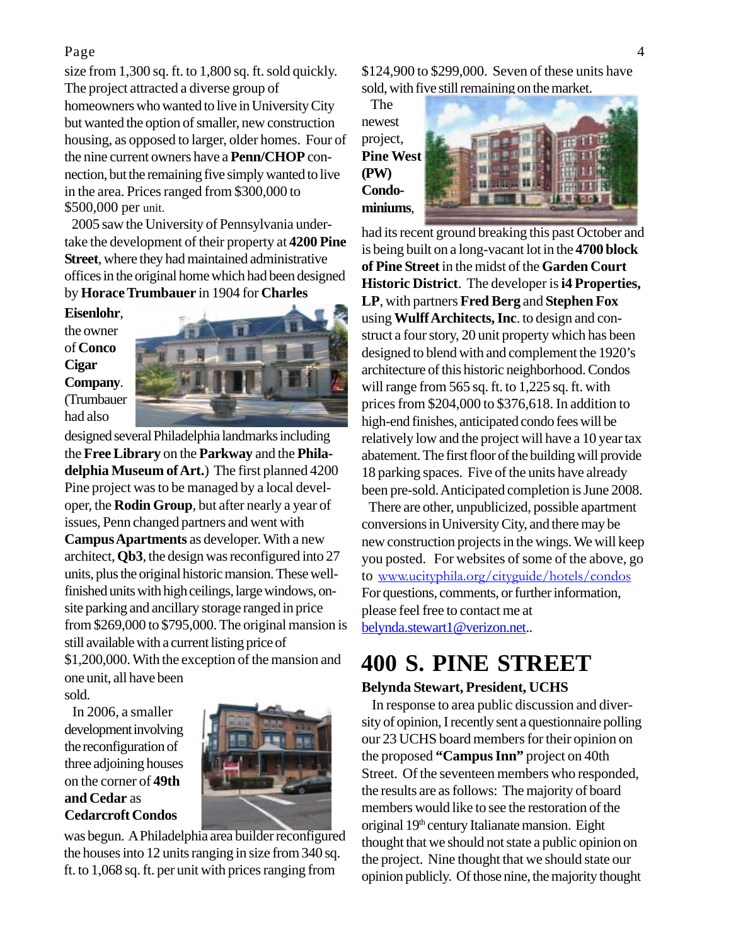#### Page 4

size from 1,300 sq. ft. to 1,800 sq. ft. sold quickly. The project attracted a diverse group of homeowners who wanted to live in University City but wanted the option of smaller, new construction housing, as opposed to larger, older homes. Four of the nine current owners have a **Penn/CHOP** connection, but the remaining five simply wanted to live in the area. Prices ranged from \$300,000 to \$500,000 per unit.

 2005 saw the University of Pennsylvania undertake the development of their property at **4200 Pine Street**, where they had maintained administrative offices in the original home which had been designed by **Horace Trumbauer** in 1904 for **Charles**

**Eisenlohr**, the owner of **Conco Cigar Company**. (Trumbauer had also



designed several Philadelphia landmarks including the **Free Library** on the **Parkway** and the **Philadelphia Museum of Art.**) The first planned 4200 Pine project was to be managed by a local developer, the **Rodin Group**, but after nearly a year of issues, Penn changed partners and went with **Campus Apartments** as developer. With a new architect, **Qb3**, the design was reconfigured into 27 units, plus the original historic mansion. These wellfinished units with high ceilings, large windows, onsite parking and ancillary storage ranged in price from \$269,000 to \$795,000. The original mansion is still available with a current listing price of \$1,200,000. With the exception of the mansion and one unit, all have been

sold.

 In 2006, a smaller development involving the reconfiguration of three adjoining houses on the corner of **49th and Cedar** as **Cedarcroft Condos**



was begun. A Philadelphia area builder reconfigured the houses into 12 units ranging in size from 340 sq. ft. to 1,068 sq. ft. per unit with prices ranging from

\$124,900 to \$299,000. Seven of these units have sold, with five still remaining on the market.

 The newest project, **Pine West (PW) Condominiums**,



had its recent ground breaking this past October and is being built on a long-vacant lot in the **4700 block of Pine Street** in the midst of the **Garden Court Historic District**. The developer is **i4 Properties, LP**, with partners **Fred Berg** and **Stephen Fox** using **Wulff Architects, Inc**. to design and construct a four story, 20 unit property which has been designed to blend with and complement the 1920's architecture of this historic neighborhood. Condos will range from 565 sq. ft. to 1,225 sq. ft. with prices from \$204,000 to \$376,618. In addition to high-end finishes, anticipated condo fees will be relatively low and the project will have a 10 year tax abatement. The first floor of the building will provide 18 parking spaces. Five of the units have already been pre-sold. Anticipated completion is June 2008.

 There are other, unpublicized, possible apartment conversions in University City, and there may be new construction projects in the wings. We will keep you posted. For websites of some of the above, go to www.ucityphila.org/cityguide/hotels/condos For questions, comments, or further information, please feel free to contact me at belynda.stewart1@verizon.net..

### **400 S. PINE STREET**

#### **Belynda Stewart, President, UCHS**

 In response to area public discussion and diversity of opinion, I recently sent a questionnaire polling our 23 UCHS board members for their opinion on the proposed **"Campus Inn"** project on 40th Street. Of the seventeen members who responded, the results are as follows: The majority of board members would like to see the restoration of the original 19th century Italianate mansion. Eight thought that we should not state a public opinion on the project. Nine thought that we should state our opinion publicly. Of those nine, the majority thought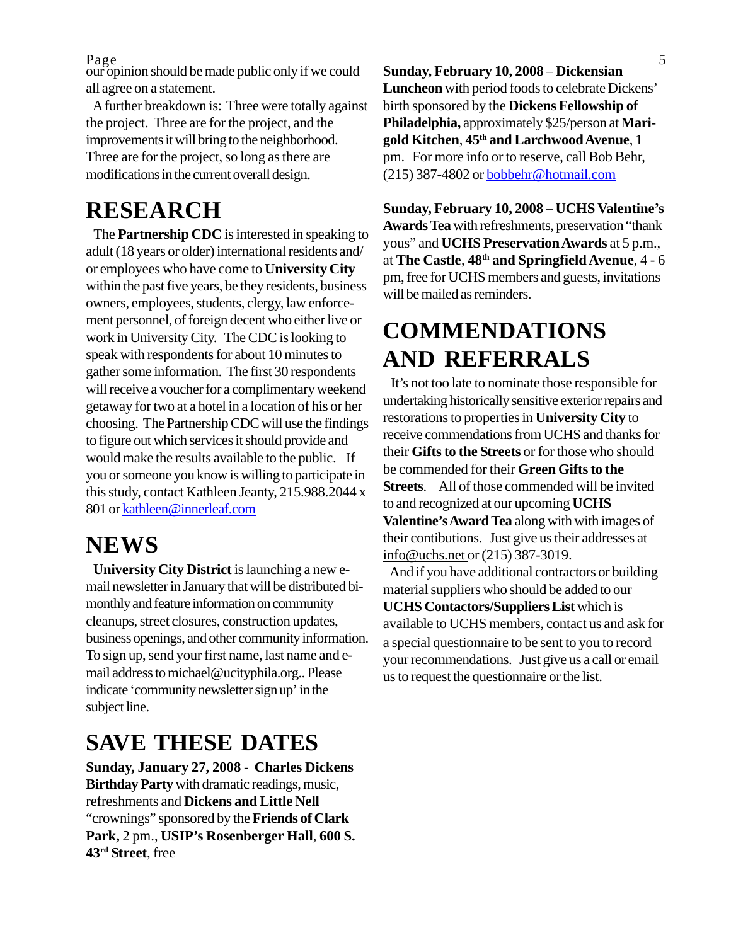$Page_1$  , and the set of  $S$  is  $\frac{1}{2}$  ,  $\frac{1}{2}$  ,  $\frac{1}{2}$  ,  $\frac{1}{2}$  ,  $\frac{1}{2}$  ,  $\frac{1}{2}$  ,  $\frac{1}{2}$  ,  $\frac{1}{2}$  ,  $\frac{1}{2}$  ,  $\frac{1}{2}$  ,  $\frac{1}{2}$  ,  $\frac{1}{2}$  ,  $\frac{1}{2}$  ,  $\frac{1}{2}$  ,  $\frac{1}{2}$  ,  $\frac{1}{2}$  , Page<br>our opinion should be made public only if we could all agree on a statement.

 A further breakdown is: Three were totally against the project. Three are for the project, and the improvements it will bring to the neighborhood. Three are for the project, so long as there are modifications in the current overall design.

### **RESEARCH**

 The **Partnership CDC** is interested in speaking to adult (18 years or older) international residents and/ or employees who have come to **University City** within the past five years, be they residents, business owners, employees, students, clergy, law enforcement personnel, of foreign decent who either live or work in University City. The CDC is looking to speak with respondents for about 10 minutes to gather some information. The first 30 respondents will receive a voucher for a complimentary weekend getaway for two at a hotel in a location of his or her choosing. The Partnership CDC will use the findings to figure out which services it should provide and would make the results available to the public. If you or someone you know is willing to participate in this study, contact Kathleen Jeanty, 215.988.2044 x 801 or kathleen@innerleaf.com

### **NEWS**

 **University City District** is launching a new email newsletter in January that will be distributed bimonthly and feature information on community cleanups, street closures, construction updates, business openings, and other community information. To sign up, send your first name, last name and email address to michael@ucityphila.org.. Please indicate 'community newsletter sign up' in the subject line.

### **SAVE THESE DATES**

**Sunday, January 27, 2008** - **Charles Dickens Birthday Party** with dramatic readings, music, refreshments and **Dickens and Little Nell** "crownings" sponsored by the **Friends of Clark Park,** 2 pm., **USIP's Rosenberger Hall**, **600 S. 43rd Street**, free

**Sunday, February 10, 2008** – **Dickensian Luncheon** with period foods to celebrate Dickens' birth sponsored by the **Dickens Fellowship of Philadelphia,** approximately \$25/person at **Marigold Kitchen**, **45th and Larchwood Avenue**, 1 pm. For more info or to reserve, call Bob Behr, (215) 387-4802 or bobbehr@hotmail.com

**Sunday, February 10, 2008** – **UCHS Valentine's Awards Tea** with refreshments, preservation "thank yous" and **UCHS Preservation Awards** at 5 p.m., at **The Castle**, **48th and Springfield Avenue**, 4 - 6 pm, free for UCHS members and guests, invitations will be mailed as reminders.

## **COMMENDATIONS AND REFERRALS**

 It's not too late to nominate those responsible for undertaking historically sensitive exterior repairs and restorations to properties in **University City** to receive commendations from UCHS and thanks for their **Gifts to the Streets** or for those who should be commended for their **Green Gifts to the Streets**. All of those commended will be invited to and recognized at our upcoming **UCHS Valentine's Award Tea** along with with images of their contibutions. Just give us their addresses at info@uchs.net or (215) 387-3019.

 And if you have additional contractors or building material suppliers who should be added to our **UCHS Contactors/Suppliers List** which is available to UCHS members, contact us and ask for a special questionnaire to be sent to you to record your recommendations. Just give us a call or email us to request the questionnaire or the list.